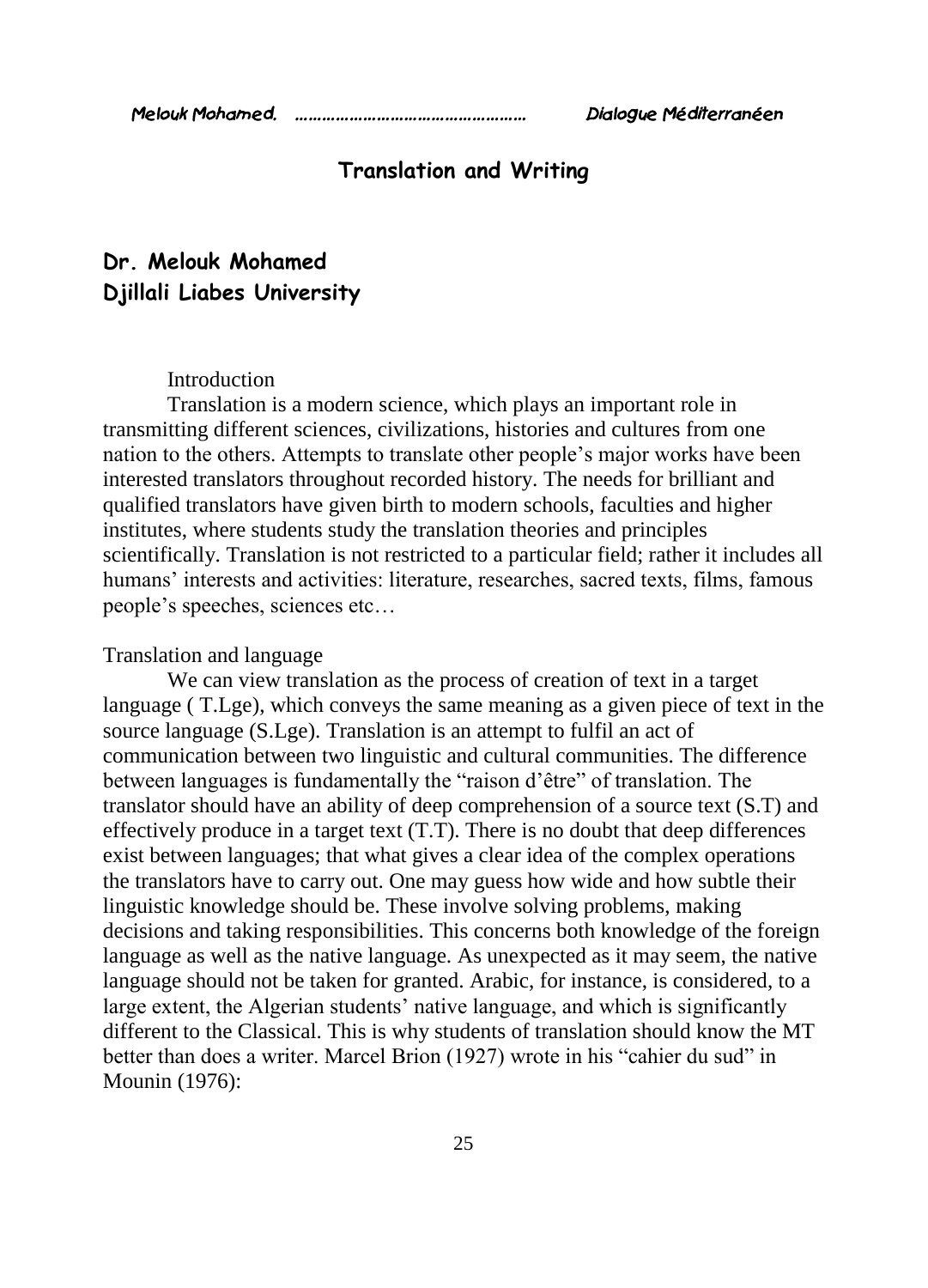# **Translation and Writing**

# **Dr. Melouk Mohamed Djillali Liabes University**

## Introduction

Translation is a modern science, which plays an important role in transmitting different sciences, civilizations, histories and cultures from one nation to the others. Attempts to translate other people's major works have been interested translators throughout recorded history. The needs for brilliant and qualified translators have given birth to modern schools, faculties and higher institutes, where students study the translation theories and principles scientifically. Translation is not restricted to a particular field; rather it includes all humans' interests and activities: literature, researches, sacred texts, films, famous people's speeches, sciences etc…

#### Translation and language

We can view translation as the process of creation of text in a target language ( T.Lge), which conveys the same meaning as a given piece of text in the source language (S.Lge). Translation is an attempt to fulfil an act of communication between two linguistic and cultural communities. The difference between languages is fundamentally the "raison d'être" of translation. The translator should have an ability of deep comprehension of a source text (S.T) and effectively produce in a target text (T.T). There is no doubt that deep differences exist between languages; that what gives a clear idea of the complex operations the translators have to carry out. One may guess how wide and how subtle their linguistic knowledge should be. These involve solving problems, making decisions and taking responsibilities. This concerns both knowledge of the foreign language as well as the native language. As unexpected as it may seem, the native language should not be taken for granted. Arabic, for instance, is considered, to a large extent, the Algerian students' native language, and which is significantly different to the Classical. This is why students of translation should know the MT better than does a writer. Marcel Brion (1927) wrote in his "cahier du sud" in Mounin (1976):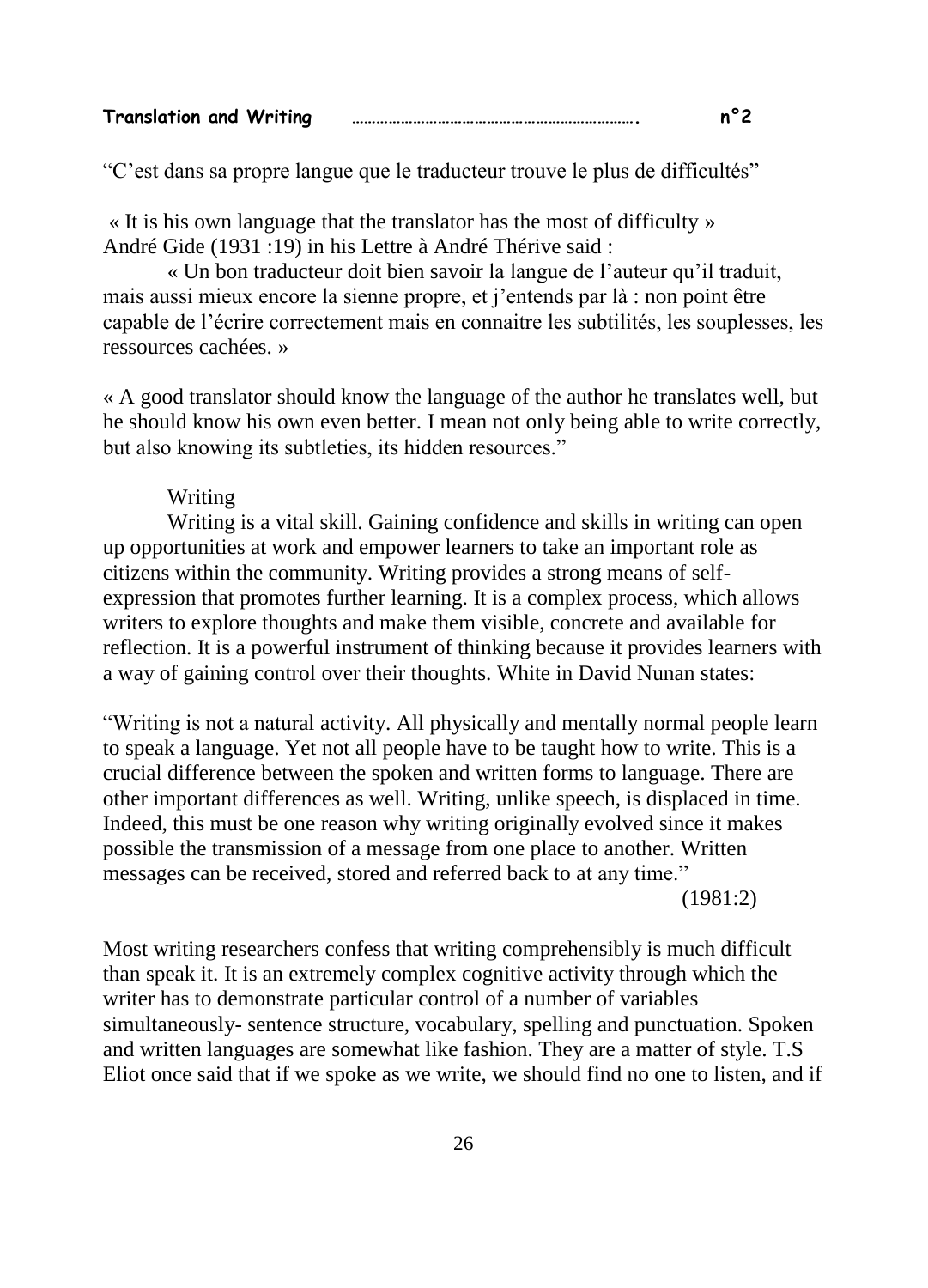| <b>Translation and Writing</b> |  |  |
|--------------------------------|--|--|
|--------------------------------|--|--|

"C'est dans sa propre langue que le traducteur trouve le plus de difficultés"

« It is his own language that the translator has the most of difficulty » André Gide (1931 :19) in his Lettre à André Thérive said :

« Un bon traducteur doit bien savoir la langue de l'auteur qu'il traduit, mais aussi mieux encore la sienne propre, et j'entends par là : non point être capable de l'écrire correctement mais en connaitre les subtilités, les souplesses, les ressources cachées. »

« A good translator should know the language of the author he translates well, but he should know his own even better. I mean not only being able to write correctly, but also knowing its subtleties, its hidden resources."

#### Writing

Writing is a vital skill. Gaining confidence and skills in writing can open up opportunities at work and empower learners to take an important role as citizens within the community. Writing provides a strong means of selfexpression that promotes further learning. It is a complex process, which allows writers to explore thoughts and make them visible, concrete and available for reflection. It is a powerful instrument of thinking because it provides learners with a way of gaining control over their thoughts. White in David Nunan states:

"Writing is not a natural activity. All physically and mentally normal people learn to speak a language. Yet not all people have to be taught how to write. This is a crucial difference between the spoken and written forms to language. There are other important differences as well. Writing, unlike speech, is displaced in time. Indeed, this must be one reason why writing originally evolved since it makes possible the transmission of a message from one place to another. Written messages can be received, stored and referred back to at any time."

(1981:2)

Most writing researchers confess that writing comprehensibly is much difficult than speak it. It is an extremely complex cognitive activity through which the writer has to demonstrate particular control of a number of variables simultaneously- sentence structure, vocabulary, spelling and punctuation. Spoken and written languages are somewhat like fashion. They are a matter of style. T.S Eliot once said that if we spoke as we write, we should find no one to listen, and if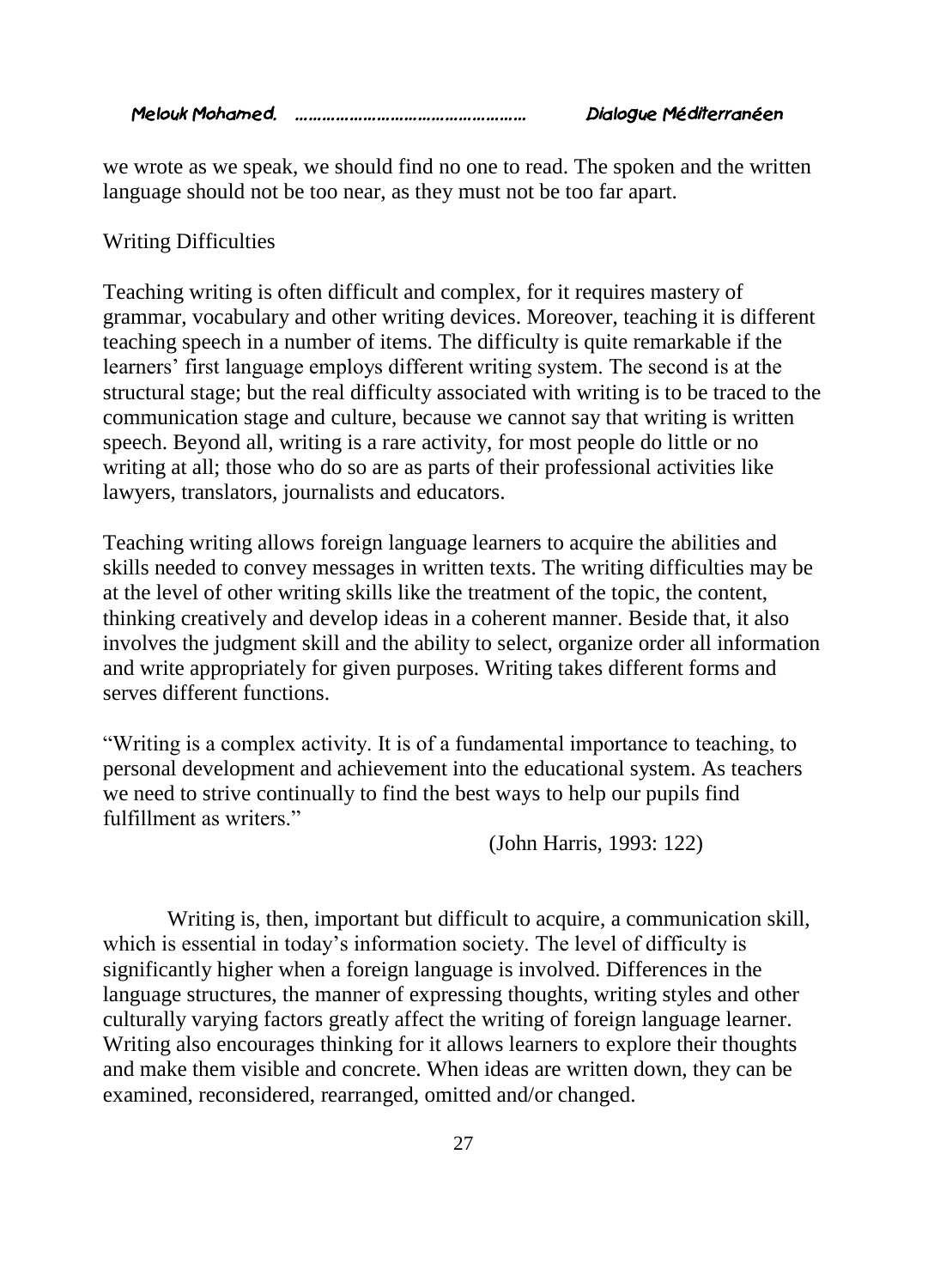*Melouk Mohamed. …………………………………………… Dialogue Méditerranéen* 

we wrote as we speak, we should find no one to read. The spoken and the written language should not be too near, as they must not be too far apart.

### Writing Difficulties

Teaching writing is often difficult and complex, for it requires mastery of grammar, vocabulary and other writing devices. Moreover, teaching it is different teaching speech in a number of items. The difficulty is quite remarkable if the learners' first language employs different writing system. The second is at the structural stage; but the real difficulty associated with writing is to be traced to the communication stage and culture, because we cannot say that writing is written speech. Beyond all, writing is a rare activity, for most people do little or no writing at all; those who do so are as parts of their professional activities like lawyers, translators, journalists and educators.

Teaching writing allows foreign language learners to acquire the abilities and skills needed to convey messages in written texts. The writing difficulties may be at the level of other writing skills like the treatment of the topic, the content, thinking creatively and develop ideas in a coherent manner. Beside that, it also involves the judgment skill and the ability to select, organize order all information and write appropriately for given purposes. Writing takes different forms and serves different functions.

"Writing is a complex activity. It is of a fundamental importance to teaching, to personal development and achievement into the educational system. As teachers we need to strive continually to find the best ways to help our pupils find fulfillment as writers."

(John Harris, 1993: 122)

Writing is, then, important but difficult to acquire, a communication skill, which is essential in today's information society. The level of difficulty is significantly higher when a foreign language is involved. Differences in the language structures, the manner of expressing thoughts, writing styles and other culturally varying factors greatly affect the writing of foreign language learner. Writing also encourages thinking for it allows learners to explore their thoughts and make them visible and concrete. When ideas are written down, they can be examined, reconsidered, rearranged, omitted and/or changed.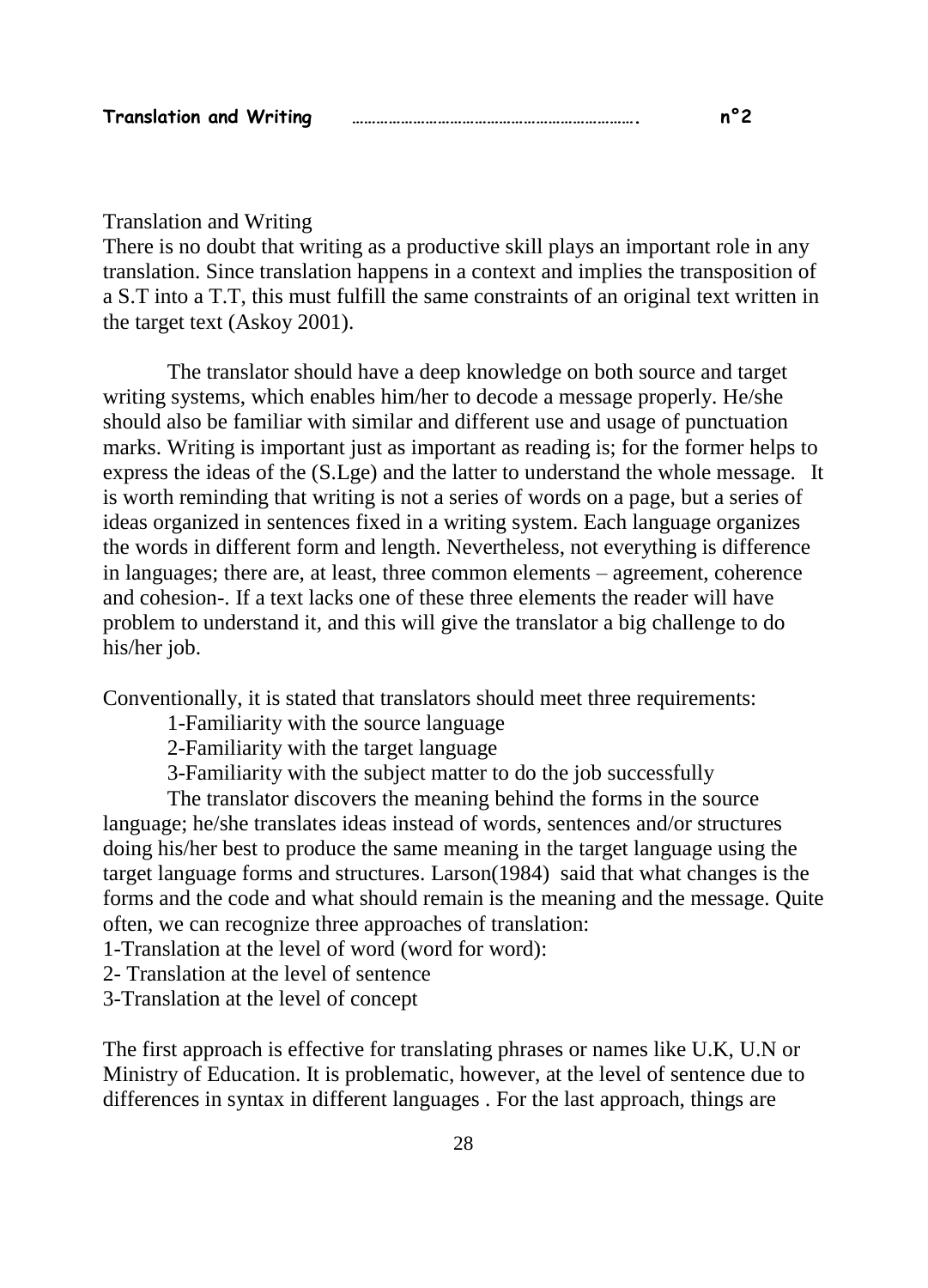| <b>Translation and Writing</b> |  |  |
|--------------------------------|--|--|
|--------------------------------|--|--|

#### Translation and Writing

There is no doubt that writing as a productive skill plays an important role in any translation. Since translation happens in a context and implies the transposition of a S.T into a T.T, this must fulfill the same constraints of an original text written in the target text (Askoy 2001).

The translator should have a deep knowledge on both source and target writing systems, which enables him/her to decode a message properly. He/she should also be familiar with similar and different use and usage of punctuation marks. Writing is important just as important as reading is; for the former helps to express the ideas of the (S.Lge) and the latter to understand the whole message. It is worth reminding that writing is not a series of words on a page, but a series of ideas organized in sentences fixed in a writing system. Each language organizes the words in different form and length. Nevertheless, not everything is difference in languages; there are, at least, three common elements – agreement, coherence and cohesion-. If a text lacks one of these three elements the reader will have problem to understand it, and this will give the translator a big challenge to do his/her job.

Conventionally, it is stated that translators should meet three requirements:

1-Familiarity with the source language

2-Familiarity with the target language

3-Familiarity with the subject matter to do the job successfully

The translator discovers the meaning behind the forms in the source language; he/she translates ideas instead of words, sentences and/or structures doing his/her best to produce the same meaning in the target language using the target language forms and structures. Larson(1984) said that what changes is the forms and the code and what should remain is the meaning and the message. Quite often, we can recognize three approaches of translation:

1-Translation at the level of word (word for word):

2- Translation at the level of sentence

3-Translation at the level of concept

The first approach is effective for translating phrases or names like U.K, U.N or Ministry of Education. It is problematic, however, at the level of sentence due to differences in syntax in different languages . For the last approach, things are